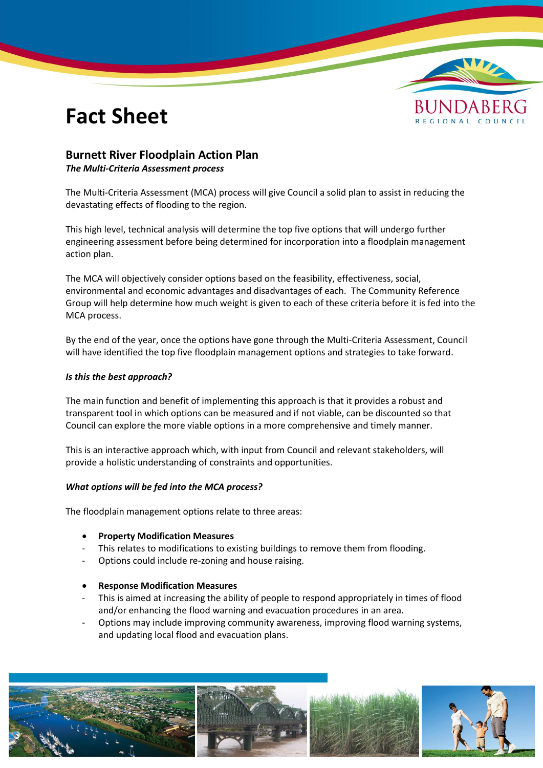# **Fact Sheet**



### **Burnett River Floodplain Action Plan**

#### *The Multi-Criteria Assessment process*

The Multi-Criteria Assessment (MCA) process will give Council a solid plan to assist in reducing the devastating effects of flooding to the region.

This high level, technical analysis will determine the top five options that will undergo further engineering assessment before being determined for incorporation into a floodplain management action plan.

The MCA will objectively consider options based on the feasibility, effectiveness, social, environmental and economic advantages and disadvantages of each. The Community Reference Group will help determine how much weight is given to each of these criteria before it is fed into the MCA process.

By the end of the year, once the options have gone through the Multi-Criteria Assessment, Council will have identified the top five floodplain management options and strategies to take forward.

#### *Is this the best approach?*

The main function and benefit of implementing this approach is that it provides a robust and transparent tool in which options can be measured and if not viable, can be discounted so that Council can explore the more viable options in a more comprehensive and timely manner.

This is an interactive approach which, with input from Council and relevant stakeholders, will provide a holistic understanding of constraints and opportunities.

#### *What options will be fed into the MCA process?*

The floodplain management options relate to three areas:

- **Property Modification Measures**
- This relates to modifications to existing buildings to remove them from flooding.
- Options could include re-zoning and house raising.

#### **Response Modification Measures**

- This is aimed at increasing the ability of people to respond appropriately in times of flood and/or enhancing the flood warning and evacuation procedures in an area.
- Options may include improving community awareness, improving flood warning systems, and updating local flood and evacuation plans.